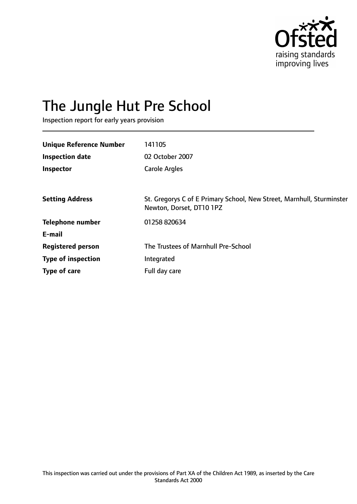

# The Jungle Hut Pre School

Inspection report for early years provision

| <b>Unique Reference Number</b> | 141105                                                                                            |
|--------------------------------|---------------------------------------------------------------------------------------------------|
|                                |                                                                                                   |
| <b>Inspection date</b>         | 02 October 2007                                                                                   |
| Inspector                      | <b>Carole Argles</b>                                                                              |
|                                |                                                                                                   |
| <b>Setting Address</b>         | St. Gregorys C of E Primary School, New Street, Marnhull, Sturminster<br>Newton, Dorset, DT10 1PZ |
| <b>Telephone number</b>        | 01258 820634                                                                                      |
| E-mail                         |                                                                                                   |
| <b>Registered person</b>       | The Trustees of Marnhull Pre-School                                                               |
| <b>Type of inspection</b>      | Integrated                                                                                        |
| Type of care                   | Full day care                                                                                     |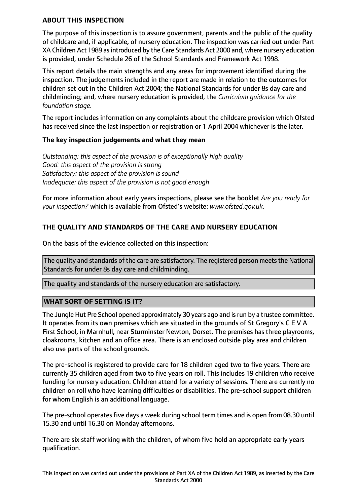#### **ABOUT THIS INSPECTION**

The purpose of this inspection is to assure government, parents and the public of the quality of childcare and, if applicable, of nursery education. The inspection was carried out under Part XA Children Act 1989 as introduced by the Care Standards Act 2000 and, where nursery education is provided, under Schedule 26 of the School Standards and Framework Act 1998.

This report details the main strengths and any areas for improvement identified during the inspection. The judgements included in the report are made in relation to the outcomes for children set out in the Children Act 2004; the National Standards for under 8s day care and childminding; and, where nursery education is provided, the *Curriculum guidance for the foundation stage.*

The report includes information on any complaints about the childcare provision which Ofsted has received since the last inspection or registration or 1 April 2004 whichever is the later.

#### **The key inspection judgements and what they mean**

*Outstanding: this aspect of the provision is of exceptionally high quality Good: this aspect of the provision is strong Satisfactory: this aspect of the provision is sound Inadequate: this aspect of the provision is not good enough*

For more information about early years inspections, please see the booklet *Are you ready for your inspection?* which is available from Ofsted's website: *www.ofsted.gov.uk.*

## **THE QUALITY AND STANDARDS OF THE CARE AND NURSERY EDUCATION**

On the basis of the evidence collected on this inspection:

The quality and standards of the care are satisfactory. The registered person meets the National Standards for under 8s day care and childminding.

The quality and standards of the nursery education are satisfactory.

#### **WHAT SORT OF SETTING IS IT?**

The Jungle Hut Pre School opened approximately 30 years ago and is run by a trustee committee. It operates from its own premises which are situated in the grounds of St Gregory's C E V A First School, in Marnhull, near Sturminster Newton, Dorset. The premises has three playrooms, cloakrooms, kitchen and an office area. There is an enclosed outside play area and children also use parts of the school grounds.

The pre-school is registered to provide care for 18 children aged two to five years. There are currently 35 children aged from two to five years on roll. This includes 19 children who receive funding for nursery education. Children attend for a variety of sessions. There are currently no children on roll who have learning difficulties or disabilities. The pre-school support children for whom English is an additional language.

The pre-school operates five days a week during school term times and is open from 08.30 until 15.30 and until 16.30 on Monday afternoons.

There are six staff working with the children, of whom five hold an appropriate early years qualification.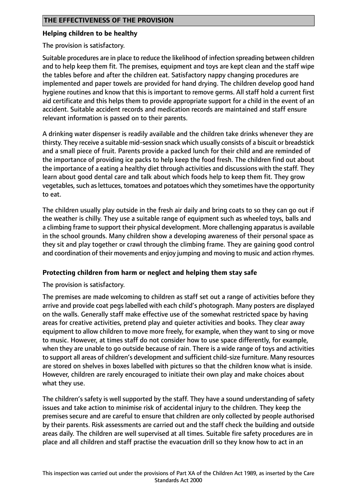#### **Helping children to be healthy**

The provision is satisfactory.

Suitable procedures are in place to reduce the likelihood of infection spreading between children and to help keep them fit. The premises, equipment and toys are kept clean and the staff wipe the tables before and after the children eat. Satisfactory nappy changing procedures are implemented and paper towels are provided for hand drying. The children develop good hand hygiene routines and know that this is important to remove germs. All staff hold a current first aid certificate and this helps them to provide appropriate support for a child in the event of an accident. Suitable accident records and medication records are maintained and staff ensure relevant information is passed on to their parents.

A drinking water dispenser is readily available and the children take drinks whenever they are thirsty. They receive a suitable mid-session snack which usually consists of a biscuit or breadstick and a small piece of fruit. Parents provide a packed lunch for their child and are reminded of the importance of providing ice packs to help keep the food fresh. The children find out about the importance of a eating a healthy diet through activities and discussions with the staff. They learn about good dental care and talk about which foods help to keep them fit. They grow vegetables, such as lettuces, tomatoes and potatoes which they sometimes have the opportunity to eat.

The children usually play outside in the fresh air daily and bring coats to so they can go out if the weather is chilly. They use a suitable range of equipment such as wheeled toys, balls and a climbing frame to support their physical development. More challenging apparatusis available in the school grounds. Many children show a developing awareness of their personal space as they sit and play together or crawl through the climbing frame. They are gaining good control and coordination of their movements and enjoy jumping and moving to music and action rhymes.

#### **Protecting children from harm or neglect and helping them stay safe**

The provision is satisfactory.

The premises are made welcoming to children as staff set out a range of activities before they arrive and provide coat pegs labelled with each child's photograph. Many posters are displayed on the walls. Generally staff make effective use of the somewhat restricted space by having areas for creative activities, pretend play and quieter activities and books. They clear away equipment to allow children to move more freely, for example, when they want to sing or move to music. However, at times staff do not consider how to use space differently, for example, when they are unable to go outside because of rain. There is a wide range of toys and activities to support all areas of children's development and sufficient child-size furniture. Many resources are stored on shelves in boxes labelled with pictures so that the children know what is inside. However, children are rarely encouraged to initiate their own play and make choices about what they use.

The children's safety is well supported by the staff. They have a sound understanding of safety issues and take action to minimise risk of accidental injury to the children. They keep the premises secure and are careful to ensure that children are only collected by people authorised by their parents. Risk assessments are carried out and the staff check the building and outside areas daily. The children are well supervised at all times. Suitable fire safety procedures are in place and all children and staff practise the evacuation drill so they know how to act in an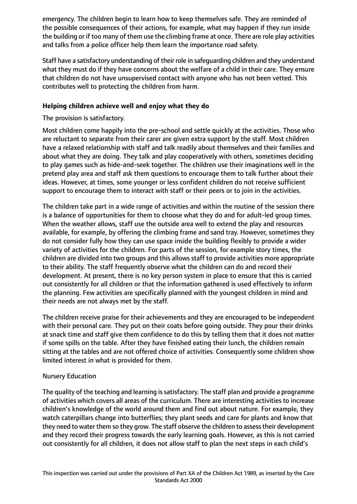emergency. The children begin to learn how to keep themselves safe. They are reminded of the possible consequences of their actions, for example, what may happen if they run inside the building or if too many of them use the climbing frame at once. There are role play activities and talks from a police officer help them learn the importance road safety.

Staff have a satisfactory understanding of their role in safeguarding children and they understand what they must do if they have concerns about the welfare of a child in their care. They ensure that children do not have unsupervised contact with anyone who has not been vetted. This contributes well to protecting the children from harm.

### **Helping children achieve well and enjoy what they do**

The provision is satisfactory.

Most children come happily into the pre-school and settle quickly at the activities. Those who are reluctant to separate from their carer are given extra support by the staff. Most children have a relaxed relationship with staff and talk readily about themselves and their families and about what they are doing. They talk and play cooperatively with others, sometimes deciding to play games such as hide-and-seek together. The children use their imaginations well in the pretend play area and staff ask them questions to encourage them to talk further about their ideas. However, at times, some younger or less confident children do not receive sufficient support to encourage them to interact with staff or their peers or to join in the activities.

The children take part in a wide range of activities and within the routine of the session there is a balance of opportunities for them to choose what they do and for adult-led group times. When the weather allows, staff use the outside area well to extend the play and resources available, for example, by offering the climbing frame and sand tray. However, sometimes they do not consider fully how they can use space inside the building flexibly to provide a wider variety of activities for the children. For parts of the session, for example story times, the children are divided into two groups and this allows staff to provide activities more appropriate to their ability. The staff frequently observe what the children can do and record their development. At present, there is no key person system in place to ensure that this is carried out consistently for all children or that the information gathered is used effectively to inform the planning. Few activities are specifically planned with the youngest children in mind and their needs are not always met by the staff.

The children receive praise for their achievements and they are encouraged to be independent with their personal care. They put on their coats before going outside. They pour their drinks at snack time and staff give them confidence to do this by telling them that it does not matter if some spills on the table. After they have finished eating their lunch, the children remain sitting at the tables and are not offered choice of activities. Consequently some children show limited interest in what is provided for them.

#### Nursery Education

The quality of the teaching and learning is satisfactory. The staff plan and provide a programme of activities which covers all areas of the curriculum. There are interesting activities to increase children's knowledge of the world around them and find out about nature. For example, they watch caterpillars change into butterflies; they plant seeds and care for plants and know that they need to water them so they grow. The staff observe the children to assess their development and they record their progress towards the early learning goals. However, as this is not carried out consistently for all children, it does not allow staff to plan the next steps in each child's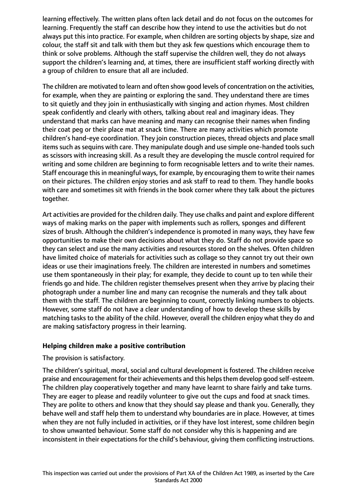learning effectively. The written plans often lack detail and do not focus on the outcomes for learning. Frequently the staff can describe how they intend to use the activities but do not always put this into practice. For example, when children are sorting objects by shape, size and colour, the staff sit and talk with them but they ask few questions which encourage them to think or solve problems. Although the staff supervise the children well, they do not always support the children's learning and, at times, there are insufficient staff working directly with a group of children to ensure that all are included.

The children are motivated to learn and often show good levels of concentration on the activities, for example, when they are painting or exploring the sand. They understand there are times to sit quietly and they join in enthusiastically with singing and action rhymes. Most children speak confidently and clearly with others, talking about real and imaginary ideas. They understand that marks can have meaning and many can recognise their names when finding their coat peg or their place mat at snack time. There are many activities which promote children's hand-eye coordination. They join construction pieces, thread objects and place small items such as sequins with care. They manipulate dough and use simple one-handed tools such as scissors with increasing skill. As a result they are developing the muscle control required for writing and some children are beginning to form recognisable letters and to write their names. Staff encourage this in meaningful ways, for example, by encouraging them to write their names on their pictures. The children enjoy stories and ask staff to read to them. They handle books with care and sometimes sit with friends in the book corner where they talk about the pictures together.

Art activities are provided for the children daily. They use chalks and paint and explore different ways of making marks on the paper with implements such as rollers, sponges and different sizes of brush. Although the children's independence is promoted in many ways, they have few opportunities to make their own decisions about what they do. Staff do not provide space so they can select and use the many activities and resources stored on the shelves. Often children have limited choice of materials for activities such as collage so they cannot try out their own ideas or use their imaginations freely. The children are interested in numbers and sometimes use them spontaneously in their play; for example, they decide to count up to ten while their friends go and hide. The children register themselves present when they arrive by placing their photograph under a number line and many can recognise the numerals and they talk about them with the staff. The children are beginning to count, correctly linking numbers to objects. However, some staff do not have a clear understanding of how to develop these skills by matching tasks to the ability of the child. However, overall the children enjoy what they do and are making satisfactory progress in their learning.

#### **Helping children make a positive contribution**

#### The provision is satisfactory.

The children's spiritual, moral, social and cultural development is fostered. The children receive praise and encouragement for their achievements and this helps them develop good self-esteem. The children play cooperatively together and many have learnt to share fairly and take turns. They are eager to please and readily volunteer to give out the cups and food at snack times. They are polite to others and know that they should say please and thank you. Generally, they behave well and staff help them to understand why boundaries are in place. However, at times when they are not fully included in activities, or if they have lost interest, some children begin to show unwanted behaviour. Some staff do not consider why this is happening and are inconsistent in their expectations for the child's behaviour, giving them conflicting instructions.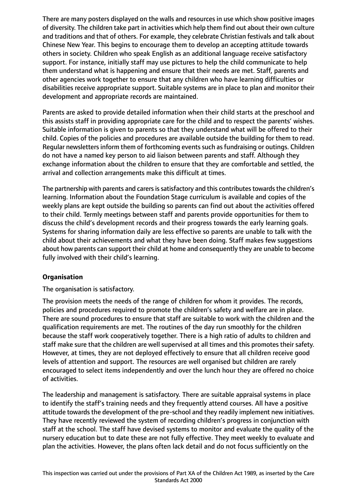There are many posters displayed on the walls and resources in use which show positive images of diversity. The children take part in activities which help them find out about their own culture and traditions and that of others. For example, they celebrate Christian festivals and talk about Chinese New Year. This begins to encourage them to develop an accepting attitude towards others in society. Children who speak English as an additional language receive satisfactory support. For instance, initially staff may use pictures to help the child communicate to help them understand what is happening and ensure that their needs are met. Staff, parents and other agencies work together to ensure that any children who have learning difficulties or disabilities receive appropriate support. Suitable systems are in place to plan and monitor their development and appropriate records are maintained.

Parents are asked to provide detailed information when their child starts at the preschool and this assists staff in providing appropriate care for the child and to respect the parents' wishes. Suitable information is given to parents so that they understand what will be offered to their child. Copies of the policies and procedures are available outside the building for them to read. Regular newsletters inform them of forthcoming events such as fundraising or outings. Children do not have a named key person to aid liaison between parents and staff. Although they exchange information about the children to ensure that they are comfortable and settled, the arrival and collection arrangements make this difficult at times.

The partnership with parents and carers is satisfactory and this contributes towards the children's learning. Information about the Foundation Stage curriculum is available and copies of the weekly plans are kept outside the building so parents can find out about the activities offered to their child. Termly meetings between staff and parents provide opportunities for them to discuss the child's development records and their progress towards the early learning goals. Systems for sharing information daily are less effective so parents are unable to talk with the child about their achievements and what they have been doing. Staff makes few suggestions about how parents can support their child at home and consequently they are unable to become fully involved with their child's learning.

#### **Organisation**

The organisation is satisfactory.

The provision meets the needs of the range of children for whom it provides. The records, policies and procedures required to promote the children's safety and welfare are in place. There are sound procedures to ensure that staff are suitable to work with the children and the qualification requirements are met. The routines of the day run smoothly for the children because the staff work cooperatively together. There is a high ratio of adults to children and staff make sure that the children are well supervised at all times and this promotes their safety. However, at times, they are not deployed effectively to ensure that all children receive good levels of attention and support. The resources are well organised but children are rarely encouraged to select items independently and over the lunch hour they are offered no choice of activities.

The leadership and management is satisfactory. There are suitable appraisal systems in place to identify the staff's training needs and they frequently attend courses. All have a positive attitude towards the development of the pre-school and they readily implement new initiatives. They have recently reviewed the system of recording children's progress in conjunction with staff at the school. The staff have devised systems to monitor and evaluate the quality of the nursery education but to date these are not fully effective. They meet weekly to evaluate and plan the activities. However, the plans often lack detail and do not focus sufficiently on the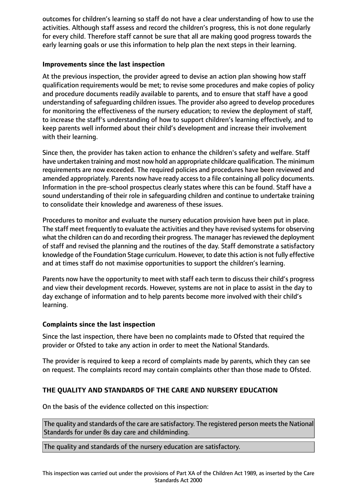outcomes for children's learning so staff do not have a clear understanding of how to use the activities. Although staff assess and record the children's progress, this is not done regularly for every child. Therefore staff cannot be sure that all are making good progress towards the early learning goals or use this information to help plan the next steps in their learning.

## **Improvements since the last inspection**

At the previous inspection, the provider agreed to devise an action plan showing how staff qualification requirements would be met; to revise some procedures and make copies of policy and procedure documents readily available to parents, and to ensure that staff have a good understanding of safeguarding children issues. The provider also agreed to develop procedures for monitoring the effectiveness of the nursery education; to review the deployment of staff, to increase the staff's understanding of how to support children's learning effectively, and to keep parents well informed about their child's development and increase their involvement with their learning.

Since then, the provider has taken action to enhance the children's safety and welfare. Staff have undertaken training and most now hold an appropriate childcare qualification. The minimum requirements are now exceeded. The required policies and procedures have been reviewed and amended appropriately. Parents now have ready access to a file containing all policy documents. Information in the pre-school prospectus clearly states where this can be found. Staff have a sound understanding of their role in safeguarding children and continue to undertake training to consolidate their knowledge and awareness of these issues.

Procedures to monitor and evaluate the nursery education provision have been put in place. The staff meet frequently to evaluate the activities and they have revised systems for observing what the children can do and recording their progress. The manager has reviewed the deployment of staff and revised the planning and the routines of the day. Staff demonstrate a satisfactory knowledge of the Foundation Stage curriculum. However, to date this action is not fully effective and at times staff do not maximise opportunities to support the children's learning.

Parents now have the opportunity to meet with staff each term to discuss their child's progress and view their development records. However, systems are not in place to assist in the day to day exchange of information and to help parents become more involved with their child's learning.

## **Complaints since the last inspection**

Since the last inspection, there have been no complaints made to Ofsted that required the provider or Ofsted to take any action in order to meet the National Standards.

The provider is required to keep a record of complaints made by parents, which they can see on request. The complaints record may contain complaints other than those made to Ofsted.

## **THE QUALITY AND STANDARDS OF THE CARE AND NURSERY EDUCATION**

On the basis of the evidence collected on this inspection:

The quality and standards of the care are satisfactory. The registered person meets the National Standards for under 8s day care and childminding.

The quality and standards of the nursery education are satisfactory.